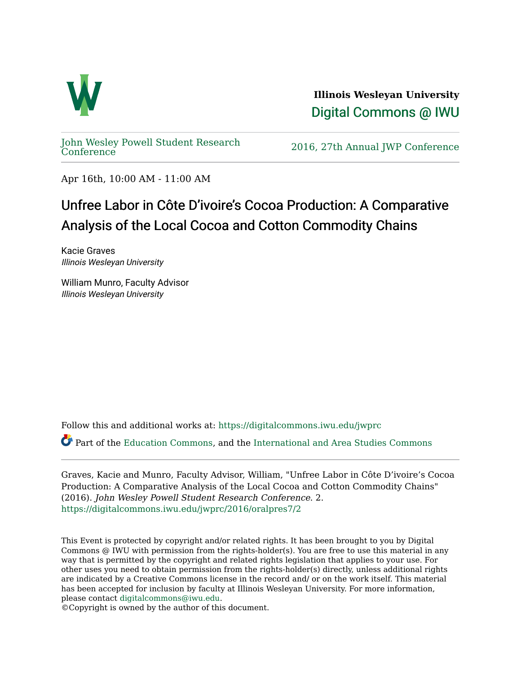

**Illinois Wesleyan University**  [Digital Commons @ IWU](https://digitalcommons.iwu.edu/) 

[John Wesley Powell Student Research](https://digitalcommons.iwu.edu/jwprc) 

2016, 27th Annual JWP [Conference](https://digitalcommons.iwu.edu/jwprc)

Apr 16th, 10:00 AM - 11:00 AM

## Unfree Labor in Côte D'ivoire's Cocoa Production: A Comparative Analysis of the Local Cocoa and Cotton Commodity Chains

Kacie Graves Illinois Wesleyan University

William Munro, Faculty Advisor Illinois Wesleyan University

Follow this and additional works at: [https://digitalcommons.iwu.edu/jwprc](https://digitalcommons.iwu.edu/jwprc?utm_source=digitalcommons.iwu.edu%2Fjwprc%2F2016%2Foralpres7%2F2&utm_medium=PDF&utm_campaign=PDFCoverPages) 

Part of the [Education Commons](http://network.bepress.com/hgg/discipline/784?utm_source=digitalcommons.iwu.edu%2Fjwprc%2F2016%2Foralpres7%2F2&utm_medium=PDF&utm_campaign=PDFCoverPages), and the [International and Area Studies Commons](http://network.bepress.com/hgg/discipline/360?utm_source=digitalcommons.iwu.edu%2Fjwprc%2F2016%2Foralpres7%2F2&utm_medium=PDF&utm_campaign=PDFCoverPages) 

Graves, Kacie and Munro, Faculty Advisor, William, "Unfree Labor in Côte D'ivoire's Cocoa Production: A Comparative Analysis of the Local Cocoa and Cotton Commodity Chains" (2016). John Wesley Powell Student Research Conference. 2. [https://digitalcommons.iwu.edu/jwprc/2016/oralpres7/2](https://digitalcommons.iwu.edu/jwprc/2016/oralpres7/2?utm_source=digitalcommons.iwu.edu%2Fjwprc%2F2016%2Foralpres7%2F2&utm_medium=PDF&utm_campaign=PDFCoverPages)

This Event is protected by copyright and/or related rights. It has been brought to you by Digital Commons @ IWU with permission from the rights-holder(s). You are free to use this material in any way that is permitted by the copyright and related rights legislation that applies to your use. For other uses you need to obtain permission from the rights-holder(s) directly, unless additional rights are indicated by a Creative Commons license in the record and/ or on the work itself. This material has been accepted for inclusion by faculty at Illinois Wesleyan University. For more information, please contact [digitalcommons@iwu.edu.](mailto:digitalcommons@iwu.edu)

©Copyright is owned by the author of this document.